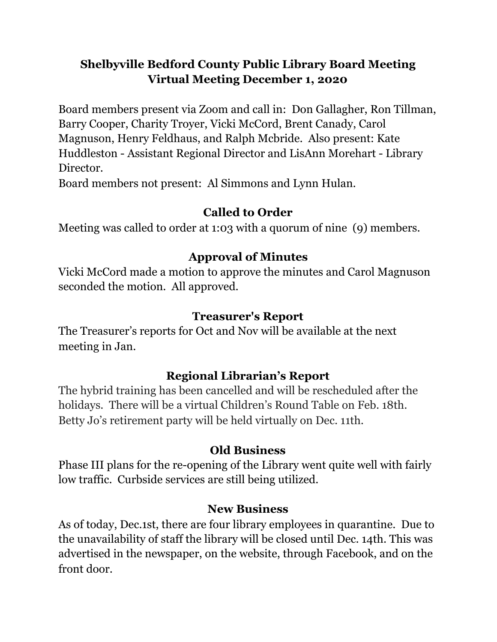## **Shelbyville Bedford County Public Library Board Meeting Virtual Meeting December 1, 2020**

Board members present via Zoom and call in: Don Gallagher, Ron Tillman, Barry Cooper, Charity Troyer, Vicki McCord, Brent Canady, Carol Magnuson, Henry Feldhaus, and Ralph Mcbride. Also present: Kate Huddleston - Assistant Regional Director and LisAnn Morehart - Library Director.

Board members not present: Al Simmons and Lynn Hulan.

## **Called to Order**

Meeting was called to order at 1:03 with a quorum of nine (9) members.

## **Approval of Minutes**

Vicki McCord made a motion to approve the minutes and Carol Magnuson seconded the motion. All approved.

## **Treasurer's Report**

The Treasurer's reports for Oct and Nov will be available at the next meeting in Jan.

## **Regional Librarian's Report**

The hybrid training has been cancelled and will be rescheduled after the holidays. There will be a virtual Children's Round Table on Feb. 18th. Betty Jo's retirement party will be held virtually on Dec. 11th.

#### **Old Business**

Phase III plans for the re-opening of the Library went quite well with fairly low traffic. Curbside services are still being utilized.

#### **New Business**

As of today, Dec.1st, there are four library employees in quarantine. Due to the unavailability of staff the library will be closed until Dec. 14th. This was advertised in the newspaper, on the website, through Facebook, and on the front door.